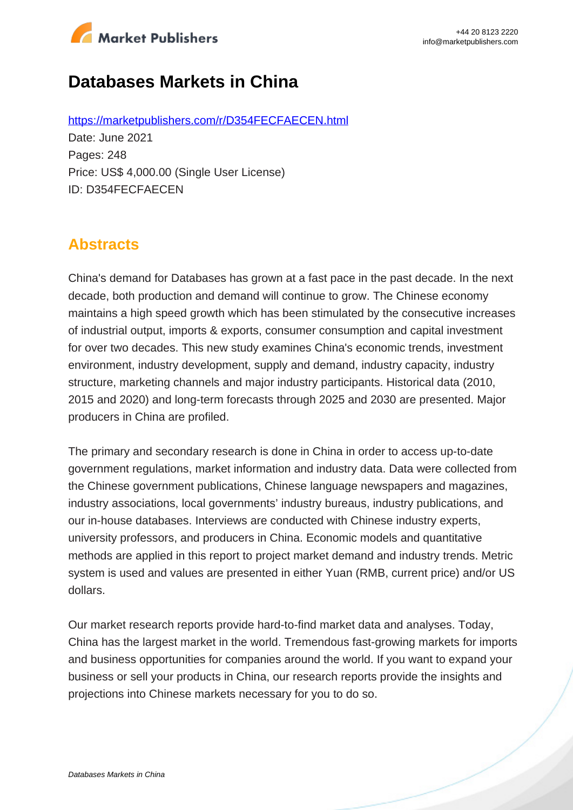

# **Databases Markets in China**

https://marketpublishers.com/r/D354FECFAECEN.html Date: June 2021 Pages: 248 Price: US\$ 4,000.00 (Single User License) ID: D354FECFAECEN

# **Abstracts**

China's demand for Databases has grown at a fast pace in the past decade. In the next decade, both production and demand will continue to grow. The Chinese economy maintains a high speed growth which has been stimulated by the consecutive increases of industrial output, imports & exports, consumer consumption and capital investment for over two decades. This new study examines China's economic trends, investment environment, industry development, supply and demand, industry capacity, industry structure, marketing channels and major industry participants. Historical data (2010, 2015 and 2020) and long-term forecasts through 2025 and 2030 are presented. Major producers in China are profiled.

The primary and secondary research is done in China in order to access up-to-date government regulations, market information and industry data. Data were collected from the Chinese government publications, Chinese language newspapers and magazines, industry associations, local governments' industry bureaus, industry publications, and our in-house databases. Interviews are conducted with Chinese industry experts, university professors, and producers in China. Economic models and quantitative methods are applied in this report to project market demand and industry trends. Metric system is used and values are presented in either Yuan (RMB, current price) and/or US dollars.

Our market research reports provide hard-to-find market data and analyses. Today, China has the largest market in the world. Tremendous fast-growing markets for imports and business opportunities for companies around the world. If you want to expand your business or sell your products in China, our research reports provide the insights and projections into Chinese markets necessary for you to do so.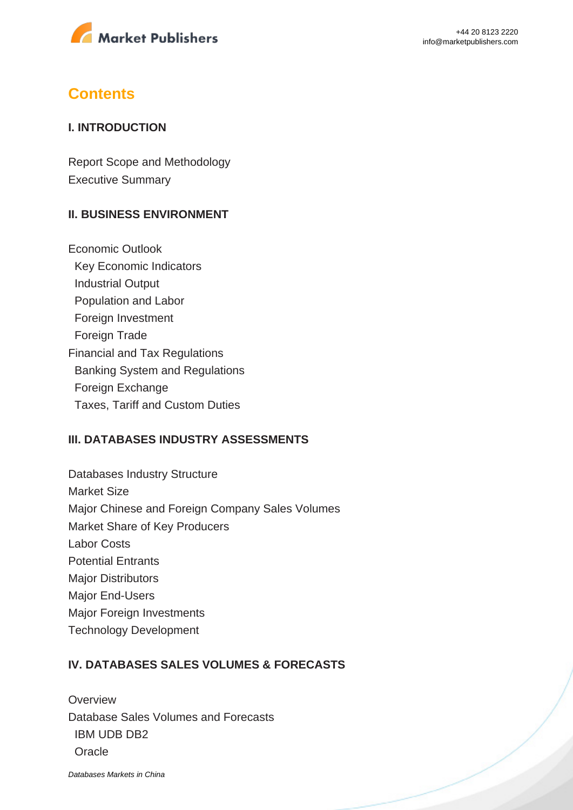

# **Contents**

### **I. INTRODUCTION**

Report Scope and Methodology Executive Summary

### **II. BUSINESS ENVIRONMENT**

Economic Outlook Key Economic Indicators Industrial Output Population and Labor Foreign Investment Foreign Trade Financial and Tax Regulations Banking System and Regulations Foreign Exchange Taxes, Tariff and Custom Duties

#### **III. DATABASES INDUSTRY ASSESSMENTS**

Databases Industry Structure Market Size Major Chinese and Foreign Company Sales Volumes Market Share of Key Producers Labor Costs Potential Entrants Major Distributors Major End-Users Major Foreign Investments Technology Development

### **IV. DATABASES SALES VOLUMES & FORECASTS**

**Overview** Database Sales Volumes and Forecasts IBM UDB DB2 **Oracle** 

[Databases Markets in China](https://marketpublishers.com/report/software/application_software/databases-markets-in-china.html)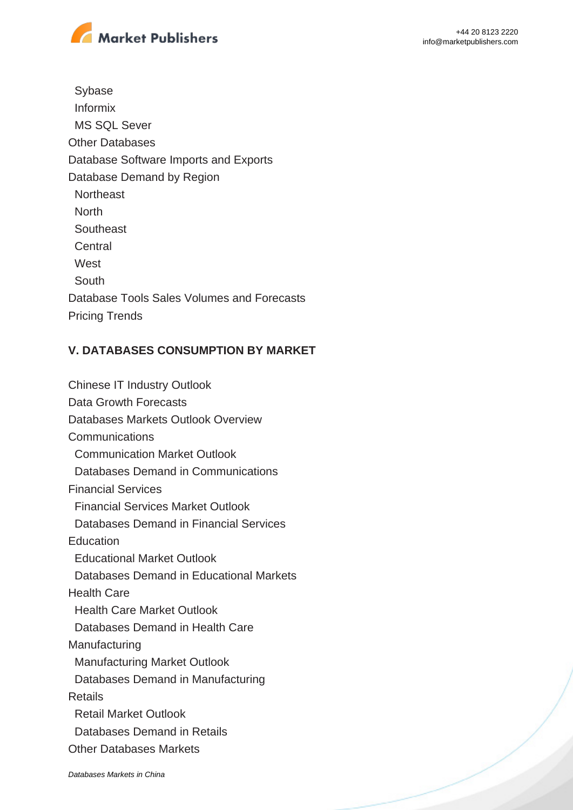

 Sybase Informix MS SQL Sever Other Databases Database Software Imports and Exports Database Demand by Region **Northeast**  North **Southeast Central West**  South Database Tools Sales Volumes and Forecasts Pricing Trends

## **V. DATABASES CONSUMPTION BY MARKET**

Chinese IT Industry Outlook Data Growth Forecasts Databases Markets Outlook Overview **Communications**  Communication Market Outlook Databases Demand in Communications Financial Services Financial Services Market Outlook Databases Demand in Financial Services **Education**  Educational Market Outlook Databases Demand in Educational Markets Health Care Health Care Market Outlook Databases Demand in Health Care Manufacturing Manufacturing Market Outlook Databases Demand in Manufacturing Retails Retail Market Outlook Databases Demand in Retails Other Databases Markets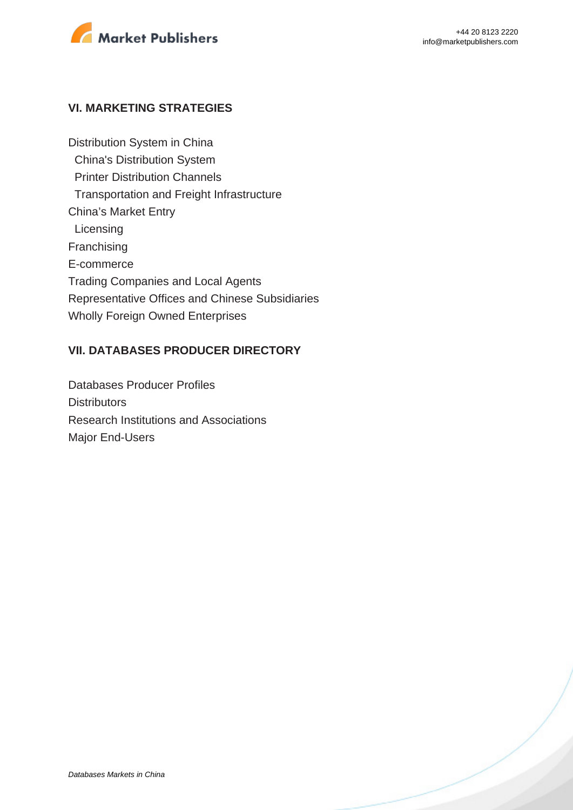

#### **VI. MARKETING STRATEGIES**

Distribution System in China China's Distribution System Printer Distribution Channels Transportation and Freight Infrastructure China's Market Entry **Licensing** Franchising E-commerce Trading Companies and Local Agents Representative Offices and Chinese Subsidiaries Wholly Foreign Owned Enterprises

#### **VII. DATABASES PRODUCER DIRECTORY**

Databases Producer Profiles **Distributors** Research Institutions and Associations Major End-Users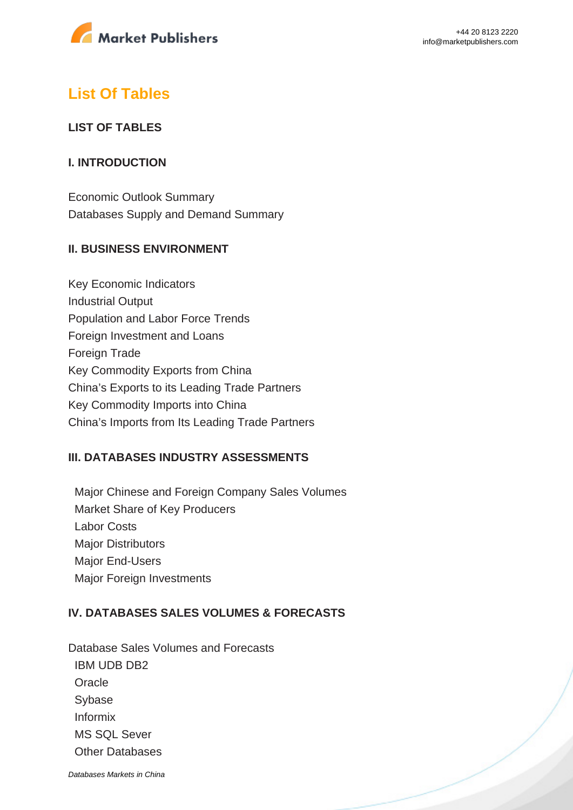

# **List Of Tables**

### **LIST OF TABLES**

### **I. INTRODUCTION**

Economic Outlook Summary Databases Supply and Demand Summary

### **II. BUSINESS ENVIRONMENT**

Key Economic Indicators Industrial Output Population and Labor Force Trends Foreign Investment and Loans Foreign Trade Key Commodity Exports from China China's Exports to its Leading Trade Partners Key Commodity Imports into China China's Imports from Its Leading Trade Partners

### **III. DATABASES INDUSTRY ASSESSMENTS**

 Major Chinese and Foreign Company Sales Volumes Market Share of Key Producers Labor Costs **Major Distributors**  Major End-Users Major Foreign Investments

### **IV. DATABASES SALES VOLUMES & FORECASTS**

Database Sales Volumes and Forecasts IBM UDB DB2 **Oracle**  Sybase Informix MS SQL Sever Other Databases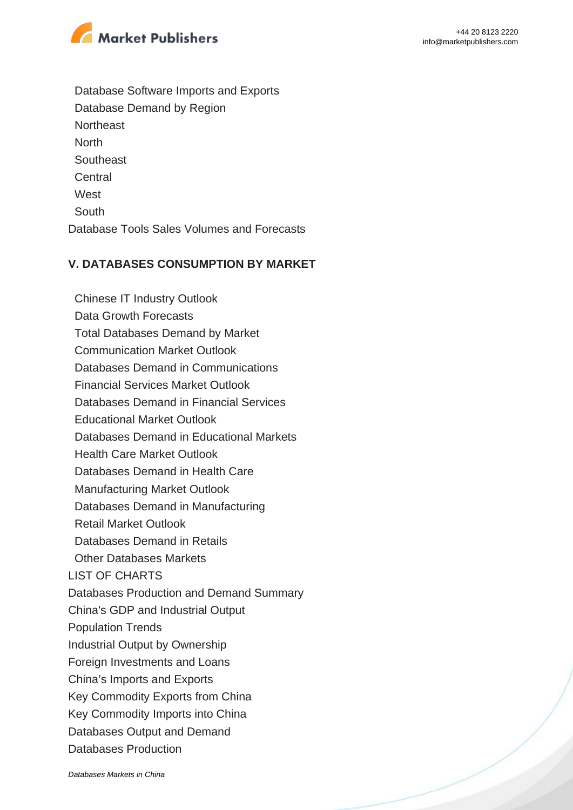

 Database Software Imports and Exports Database Demand by Region **Northeast North Southeast Central West**  South Database Tools Sales Volumes and Forecasts

### **V. DATABASES CONSUMPTION BY MARKET**

 Chinese IT Industry Outlook Data Growth Forecasts Total Databases Demand by Market Communication Market Outlook Databases Demand in Communications Financial Services Market Outlook Databases Demand in Financial Services Educational Market Outlook Databases Demand in Educational Markets Health Care Market Outlook Databases Demand in Health Care Manufacturing Market Outlook Databases Demand in Manufacturing Retail Market Outlook Databases Demand in Retails Other Databases Markets LIST OF CHARTS Databases Production and Demand Summary China's GDP and Industrial Output Population Trends Industrial Output by Ownership Foreign Investments and Loans China's Imports and Exports Key Commodity Exports from China Key Commodity Imports into China Databases Output and Demand Databases Production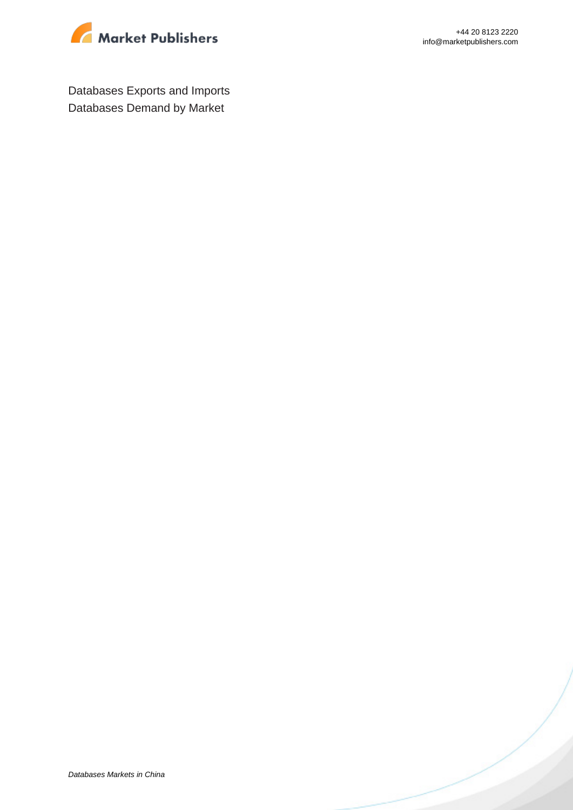

Databases Exports and Imports Databases Demand by Market